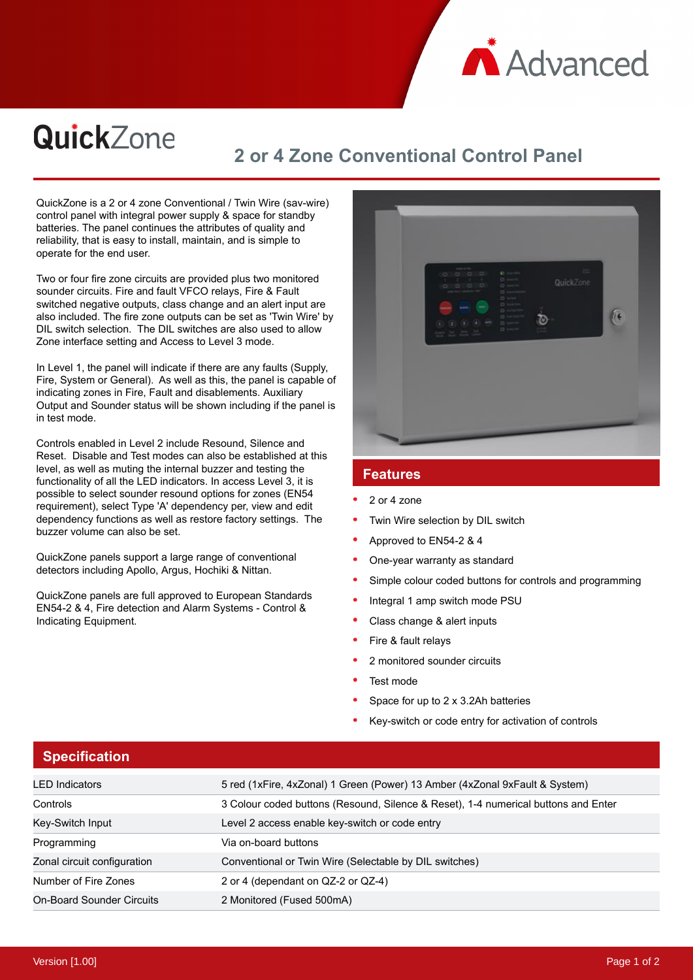

# QuickZone

# **2 or 4 Zone Conventional Control Panel**

QuickZone is a 2 or 4 zone Conventional / Twin Wire (sav-wire) control panel with integral power supply & space for standby batteries. The panel continues the attributes of quality and reliability, that is easy to install, maintain, and is simple to operate for the end user.

Two or four fire zone circuits are provided plus two monitored sounder circuits. Fire and fault VFCO relays, Fire & Fault switched negative outputs, class change and an alert input are also included. The fire zone outputs can be set as 'Twin Wire' by DIL switch selection. The DIL switches are also used to allow Zone interface setting and Access to Level 3 mode.

In Level 1, the panel will indicate if there are any faults (Supply, Fire, System or General). As well as this, the panel is capable of indicating zones in Fire, Fault and disablements. Auxiliary Output and Sounder status will be shown including if the panel is in test mode.

Controls enabled in Level 2 include Resound, Silence and Reset. Disable and Test modes can also be established at this level, as well as muting the internal buzzer and testing the functionality of all the LED indicators. In access Level 3, it is possible to select sounder resound options for zones (EN54 requirement), select Type 'A' dependency per, view and edit dependency functions as well as restore factory settings. The buzzer volume can also be set.

QuickZone panels support a large range of conventional detectors including Apollo, Argus, Hochiki & Nittan.

QuickZone panels are full approved to European Standards EN54-2 & 4, Fire detection and Alarm Systems - Control & Indicating Equipment.



#### **Features**

- 2 or 4 zone
- Twin Wire selection by DIL switch
- Approved to EN54-2 & 4
- One-year warranty as standard
- Simple colour coded buttons for controls and programming
- Integral 1 amp switch mode PSU
- Class change & alert inputs
- Fire & fault relays
- 2 monitored sounder circuits
- Test mode
- Space for up to 2 x 3.2Ah batteries
- Key-switch or code entry for activation of controls

| <b>Specification</b>             |                                                                                    |
|----------------------------------|------------------------------------------------------------------------------------|
| <b>LED</b> Indicators            | 5 red (1xFire, 4xZonal) 1 Green (Power) 13 Amber (4xZonal 9xFault & System)        |
| Controls                         | 3 Colour coded buttons (Resound, Silence & Reset), 1-4 numerical buttons and Enter |
| Key-Switch Input                 | Level 2 access enable key-switch or code entry                                     |
| Programming                      | Via on-board buttons                                                               |
| Zonal circuit configuration      | Conventional or Twin Wire (Selectable by DIL switches)                             |
| Number of Fire Zones             | 2 or 4 (dependant on QZ-2 or QZ-4)                                                 |
| <b>On-Board Sounder Circuits</b> | 2 Monitored (Fused 500mA)                                                          |

#### **Specification**